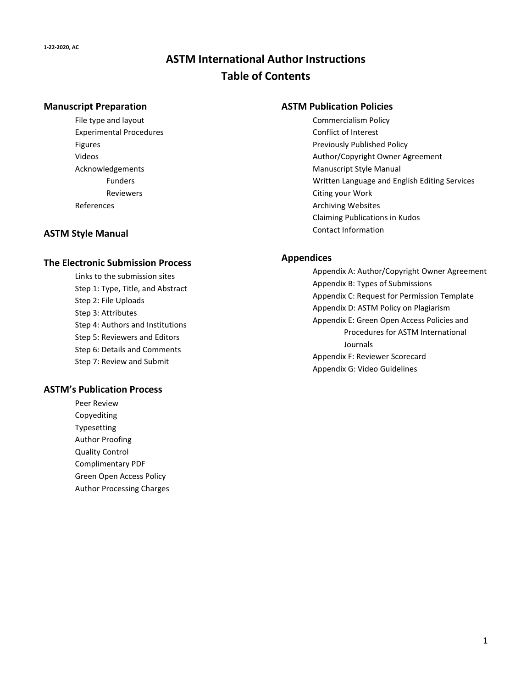# **ASTM International Author Instructions Table of Contents**

#### **Manuscript Preparation**

File type and layout Experimental Procedures Figures Videos Acknowledgements Funders Reviewers References

#### **ASTM Style Manual**

#### **The Electronic Submission Process**

Links to the submission sites Step 1: Type, Title, and Abstract Step 2: File Uploads Step 3: Attributes Step 4: Authors and Institutions Step 5: Reviewers and Editors Step 6: Details and Comments Step 7: Review and Submit

#### **ASTM's Publication Process**

Peer Review Copyediting Typesetting Author Proofing Quality Control Complimentary PDF Green Open Access Policy Author Processing Charges

#### **ASTM Publication Policies**

Commercialism Policy Conflict of Interest Previously Published Policy Author/Copyright Owner Agreement Manuscript Style Manual Written Language and English Editing Services Citing your Work Archiving Websites Claiming Publications in Kudos Contact Information

#### **Appendices**

Appendix A: Author/Copyright Owner Agreement Appendix B: Types of Submissions Appendix C: Request for Permission Template Appendix D: ASTM Policy on Plagiarism Appendix E: Green Open Access Policies and Procedures for ASTM International Journals Appendix F: Reviewer Scorecard Appendix G: Video Guidelines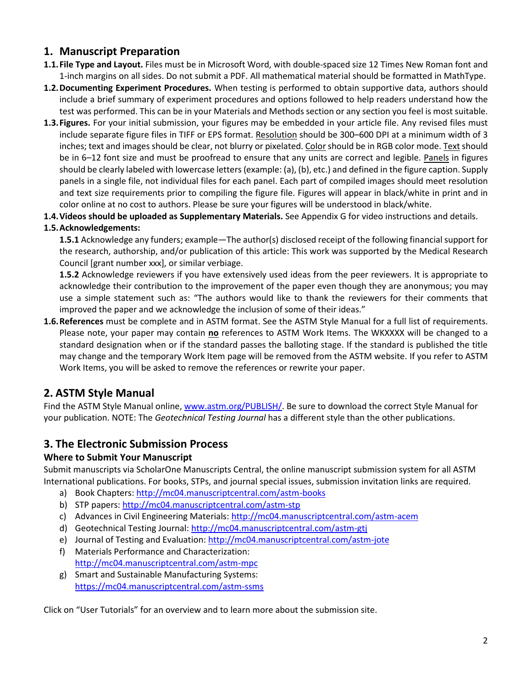# **1. Manuscript Preparation**

- **1.1.File Type and Layout.** Files must be in Microsoft Word, with double-spaced size 12 Times New Roman font and 1-inch margins on all sides. Do not submit a PDF. All mathematical material should be formatted in MathType.
- **1.2.Documenting Experiment Procedures.** When testing is performed to obtain supportive data, authors should include a brief summary of experiment procedures and options followed to help readers understand how the test was performed. This can be in your Materials and Methods section or any section you feel is most suitable.
- **1.3.Figures.** For your initial submission, your figures may be embedded in your article file. Any revised files must include separate figure files in TIFF or EPS format. Resolution should be 300–600 DPI at a minimum width of 3 inches; text and images should be clear, not blurry or pixelated. Color should be in RGB color mode. Text should be in 6–12 font size and must be proofread to ensure that any units are correct and legible. Panels in figures should be clearly labeled with lowercase letters(example: (a), (b), etc.) and defined in the figure caption. Supply panels in a single file, not individual files for each panel. Each part of compiled images should meet resolution and text size requirements prior to compiling the figure file. Figures will appear in black/white in print and in color online at no cost to authors. Please be sure your figures will be understood in black/white.
- **1.4.Videos should be uploaded as Supplementary Materials.** See Appendix G for video instructions and details.

# **1.5.Acknowledgements:**

**1.5.1** Acknowledge any funders; example—The author(s) disclosed receipt of the following financial support for the research, authorship, and/or publication of this article: This work was supported by the Medical Research Council [grant number xxx], or similar verbiage.

**1.5.2** Acknowledge reviewers if you have extensively used ideas from the peer reviewers. It is appropriate to acknowledge their contribution to the improvement of the paper even though they are anonymous; you may use a simple statement such as: "The authors would like to thank the reviewers for their comments that improved the paper and we acknowledge the inclusion of some of their ideas."

**1.6.References** must be complete and in ASTM format. See the ASTM Style Manual for a full list of requirements. Please note, your paper may contain **no** references to ASTM Work Items. The WKXXXX will be changed to a standard designation when or if the standard passes the balloting stage. If the standard is published the title may change and the temporary Work Item page will be removed from the ASTM website. If you refer to ASTM Work Items, you will be asked to remove the references or rewrite your paper.

# **2. ASTM Style Manual**

Find the ASTM Style Manual online, [www.astm.org/PUBLISH/.](http://www.astm.org/PUBLISH/) Be sure to download the correct Style Manual for your publication. NOTE: The *Geotechnical Testing Journal* has a different style than the other publications.

# **3. The Electronic Submission Process**

# **Where to Submit Your Manuscript**

Submit manuscripts via ScholarOne Manuscripts Central, the online manuscript submission system for all ASTM International publications. For books, STPs, and journal special issues, submission invitation links are required.

- a) Book Chapters:<http://mc04.manuscriptcentral.com/astm-books>
- b) STP papers:<http://mc04.manuscriptcentral.com/astm-stp>
- c) Advances in Civil Engineering Materials:<http://mc04.manuscriptcentral.com/astm-acem>
- d) Geotechnical Testing Journal:<http://mc04.manuscriptcentral.com/astm-gtj>
- e) Journal of Testing and Evaluation[: http://mc04.manuscriptcentral.com/astm-jote](http://mc04.manuscriptcentral.com/astm-jote)
- f) Materials Performance and Characterization: <http://mc04.manuscriptcentral.com/astm-mpc>
- g) Smart and Sustainable Manufacturing Systems: <https://mc04.manuscriptcentral.com/astm-ssms>

Click on "User Tutorials" for an overview and to learn more about the submission site.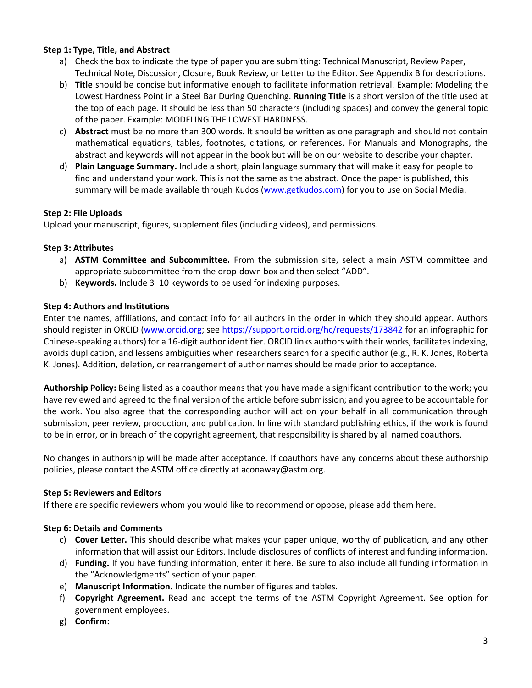#### **Step 1: Type, Title, and Abstract**

- a) Check the box to indicate the type of paper you are submitting: Technical Manuscript, Review Paper, Technical Note, Discussion, Closure, Book Review, or Letter to the Editor. See Appendix B for descriptions.
- b) **Title** should be concise but informative enough to facilitate information retrieval. Example: Modeling the Lowest Hardness Point in a Steel Bar During Quenching. **Running Title** is a short version of the title used at the top of each page. It should be less than 50 characters (including spaces) and convey the general topic of the paper. Example: MODELING THE LOWEST HARDNESS.
- c) **Abstract** must be no more than 300 words. It should be written as one paragraph and should not contain mathematical equations, tables, footnotes, citations, or references. For Manuals and Monographs, the abstract and keywords will not appear in the book but will be on our website to describe your chapter.
- d) **Plain Language Summary.** Include a short, plain language summary that will make it easy for people to find and understand your work. This is not the same as the abstract. Once the paper is published, this summary will be made available through Kudos [\(www.getkudos.com\)](http://www.getkudos.com/) for you to use on Social Media.

## **Step 2: File Uploads**

Upload your manuscript, figures, supplement files (including videos), and permissions.

## **Step 3: Attributes**

- a) **ASTM Committee and Subcommittee.** From the submission site, select a main ASTM committee and appropriate subcommittee from the drop-down box and then select "ADD".
- b) **Keywords.** Include 3–10 keywords to be used for indexing purposes.

## **Step 4: Authors and Institutions**

Enter the names, affiliations, and contact info for all authors in the order in which they should appear. Authors should register in ORCID [\(www.orcid.org;](http://www.orcid.org/) see <https://support.orcid.org/hc/requests/173842> for an infographic for Chinese-speaking authors) for a 16-digit author identifier. ORCID links authors with their works, facilitates indexing, avoids duplication, and lessens ambiguities when researchers search for a specific author (e.g., R. K. Jones, Roberta K. Jones). Addition, deletion, or rearrangement of author names should be made prior to acceptance.

**Authorship Policy:** Being listed as a coauthor means that you have made a significant contribution to the work; you have reviewed and agreed to the final version of the article before submission; and you agree to be accountable for the work. You also agree that the corresponding author will act on your behalf in all communication through submission, peer review, production, and publication. In line with standard publishing ethics, if the work is found to be in error, or in breach of the copyright agreement, that responsibility is shared by all named coauthors.

No changes in authorship will be made after acceptance. If coauthors have any concerns about these authorship policies, please contact the ASTM office directly at aconaway@astm.org.

## **Step 5: Reviewers and Editors**

If there are specific reviewers whom you would like to recommend or oppose, please add them here.

## **Step 6: Details and Comments**

- c) **Cover Letter.** This should describe what makes your paper unique, worthy of publication, and any other information that will assist our Editors. Include disclosures of conflicts of interest and funding information.
- d) **Funding.** If you have funding information, enter it here. Be sure to also include all funding information in the "Acknowledgments" section of your paper.
- e) **Manuscript Information.** Indicate the number of figures and tables.
- f) **Copyright Agreement.** Read and accept the terms of the ASTM Copyright Agreement. See option for government employees.
- g) **Confirm:**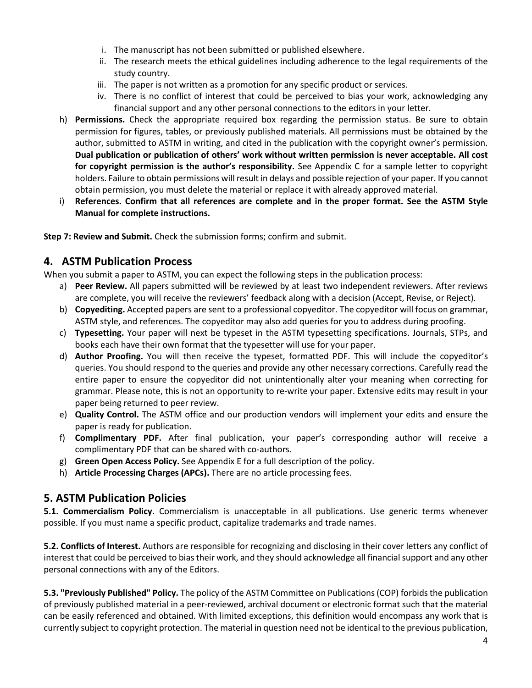- i. The manuscript has not been submitted or published elsewhere.
- ii. The research meets the ethical guidelines including adherence to the legal requirements of the study country.
- iii. The paper is not written as a promotion for any specific product or services.
- iv. There is no conflict of interest that could be perceived to bias your work, acknowledging any financial support and any other personal connections to the editors in your letter.
- h) **Permissions.** Check the appropriate required box regarding the permission status. Be sure to obtain permission for figures, tables, or previously published materials. All permissions must be obtained by the author, submitted to ASTM in writing, and cited in the publication with the copyright owner's permission. **Dual publication or publication of others' work without written permission is never acceptable. All cost for copyright permission is the author's responsibility.** See Appendix C for a sample letter to copyright holders. Failure to obtain permissions will result in delays and possible rejection of your paper. If you cannot obtain permission, you must delete the material or replace it with already approved material.
- i) **References. Confirm that all references are complete and in the proper format. See the ASTM Style Manual for complete instructions.**

**Step 7: Review and Submit.** Check the submission forms; confirm and submit.

# **4. ASTM Publication Process**

When you submit a paper to ASTM, you can expect the following steps in the publication process:

- a) **Peer Review.** All papers submitted will be reviewed by at least two independent reviewers. After reviews are complete, you will receive the reviewers' feedback along with a decision (Accept, Revise, or Reject).
- b) **Copyediting.** Accepted papers are sent to a professional copyeditor. The copyeditor will focus on grammar, ASTM style, and references. The copyeditor may also add queries for you to address during proofing.
- c) **Typesetting.** Your paper will next be typeset in the ASTM typesetting specifications. Journals, STPs, and books each have their own format that the typesetter will use for your paper.
- d) **Author Proofing.** You will then receive the typeset, formatted PDF. This will include the copyeditor's queries. You should respond to the queries and provide any other necessary corrections. Carefully read the entire paper to ensure the copyeditor did not unintentionally alter your meaning when correcting for grammar. Please note, this is not an opportunity to re-write your paper. Extensive edits may result in your paper being returned to peer review.
- e) **Quality Control.** The ASTM office and our production vendors will implement your edits and ensure the paper is ready for publication.
- f) **Complimentary PDF.** After final publication, your paper's corresponding author will receive a complimentary PDF that can be shared with co-authors.
- g) **Green Open Access Policy.** See Appendix E for a full description of the policy.
- h) **Article Processing Charges (APCs).** There are no article processing fees.

# **5. ASTM Publication Policies**

**5.1. Commercialism Policy**. Commercialism is unacceptable in all publications. Use generic terms whenever possible. If you must name a specific product, capitalize trademarks and trade names.

**5.2. Conflicts of Interest.** Authors are responsible for recognizing and disclosing in their cover letters any conflict of interest that could be perceived to bias their work, and they should acknowledge all financial support and any other personal connections with any of the Editors.

**5.3. "Previously Published" Policy.** The policy of the ASTM Committee on Publications (COP) forbids the publication of previously published material in a peer-reviewed, archival document or electronic format such that the material can be easily referenced and obtained. With limited exceptions, this definition would encompass any work that is currently subject to copyright protection. The material in question need not be identical to the previous publication,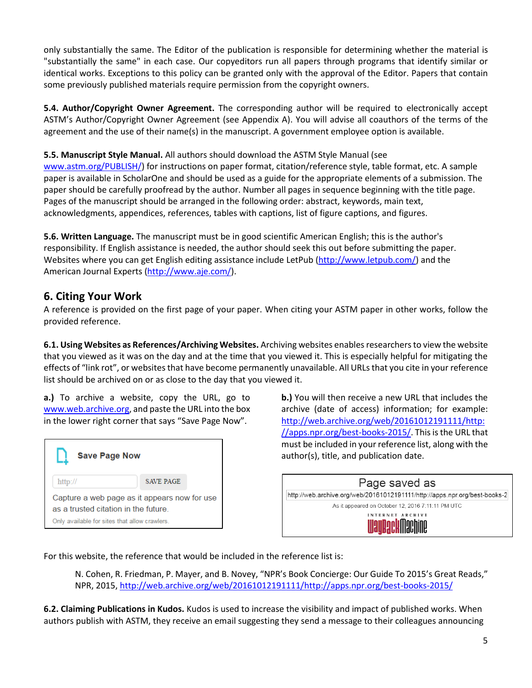only substantially the same. The Editor of the publication is responsible for determining whether the material is "substantially the same" in each case. Our copyeditors run all papers through programs that identify similar or identical works. Exceptions to this policy can be granted only with the approval of the Editor. Papers that contain some previously published materials require permission from the copyright owners.

**5.4. Author/Copyright Owner Agreement.** The corresponding author will be required to electronically accept ASTM's Author/Copyright Owner Agreement (see Appendix A). You will advise all coauthors of the terms of the agreement and the use of their name(s) in the manuscript. A government employee option is available.

**5.5. Manuscript Style Manual.** All authors should download the ASTM Style Manual (see

[www.astm.org/PUBLISH/\)](http://www.astm.org/PUBLISH/) for instructions on paper format, citation/reference style, table format, etc. A sample paper is available in ScholarOne and should be used as a guide for the appropriate elements of a submission. The paper should be carefully proofread by the author. Number all pages in sequence beginning with the title page. Pages of the manuscript should be arranged in the following order: abstract, keywords, main text, acknowledgments, appendices, references, tables with captions, list of figure captions, and figures.

**5.6. Written Language.** The manuscript must be in good scientific American English; this is the author's responsibility. If English assistance is needed, the author should seek this out before submitting the paper. Websites where you can get English editing assistance include LetPub [\(http://www.letpub.com/\)](http://www.letpub.com/) and the American Journal Experts [\(http://www.aje.com/\)](http://www.aje.com/).

# **6. Citing Your Work**

A reference is provided on the first page of your paper. When citing your ASTM paper in other works, follow the provided reference.

**6.1. Using Websites as References/Archiving Websites.** Archiving websites enables researchers to view the website that you viewed as it was on the day and at the time that you viewed it. This is especially helpful for mitigating the effects of "link rot", or websites that have become permanently unavailable. All URLs that you cite in your reference list should be archived on or as close to the day that you viewed it.

**a.)** To archive a website, copy the URL, go to [www.web.archive.org,](http://www.web.archive.org/) and paste the URL into the box in the lower right corner that says "Save Page Now".



**b.)** You will then receive a new URL that includes the archive (date of access) information; for example: [http://web.archive.org/web/20161012191111/http:](http://web.archive.org/web/20161012191111/http:/apps.npr.org/best-books-2015/) [//apps.npr.org/best-books-2015/.](http://web.archive.org/web/20161012191111/http:/apps.npr.org/best-books-2015/) This is the URL that must be included in your reference list, along with the author(s), title, and publication date.

| Page saved as                                                              |  |
|----------------------------------------------------------------------------|--|
| http://web.archive.org/web/20161012191111/http://apps.npr.org/best-books-2 |  |
| As it appeared on October 12, 2016 7:11:11 PM UTC                          |  |
| INTERNET ARCHIVE<br><b>IllauRackMachine</b>                                |  |

For this website, the reference that would be included in the reference list is:

N. Cohen, R. Friedman, P. Mayer, and B. Novey, "NPR's Book Concierge: Our Guide To 2015's Great Reads," NPR, 2015, [http://web.archive.org/web/20161012191111/http://apps.npr.org/best-books-2015/](http://web.archive.org/web/20161012191111/http:/apps.npr.org/best-books-2015/)

**6.2. Claiming Publications in Kudos.** Kudos is used to increase the visibility and impact of published works. When authors publish with ASTM, they receive an email suggesting they send a message to their colleagues announcing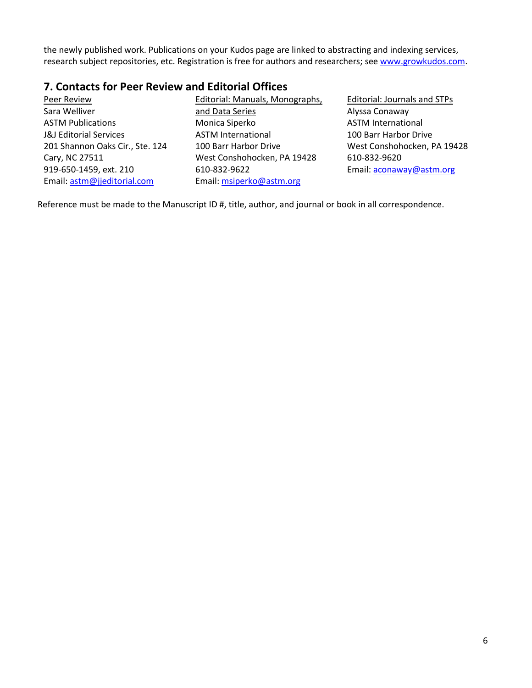the newly published work. Publications on your Kudos page are linked to abstracting and indexing services, research subject repositories, etc. Registration is free for authors and researchers; see [www.growkudos.com.](http://www.growkudos.com/)

# **7. Contacts for Peer Review and Editorial Offices**

Peer Review Sara Welliver ASTM Publications J&J Editorial Services 201 Shannon Oaks Cir., Ste. 124 Cary, NC 27511 919-650-1459, ext. 210 Email: [astm@jjeditorial.com](mailto:heather@jjeditorial.com)

Editorial: Manuals, Monographs, and Data Series Monica Siperko ASTM International 100 Barr Harbor Drive West Conshohocken, PA 19428 610-832-9622 Email: [msiperko@astm.org](mailto:msiperko@astm.org)

Editorial: Journals and STPs Alyssa Conaway ASTM International 100 Barr Harbor Drive West Conshohocken, PA 19428 610-832-9620 Email[: aconaway@astm.org](mailto:aconaway@astm.org)

Reference must be made to the Manuscript ID #, title, author, and journal or book in all correspondence.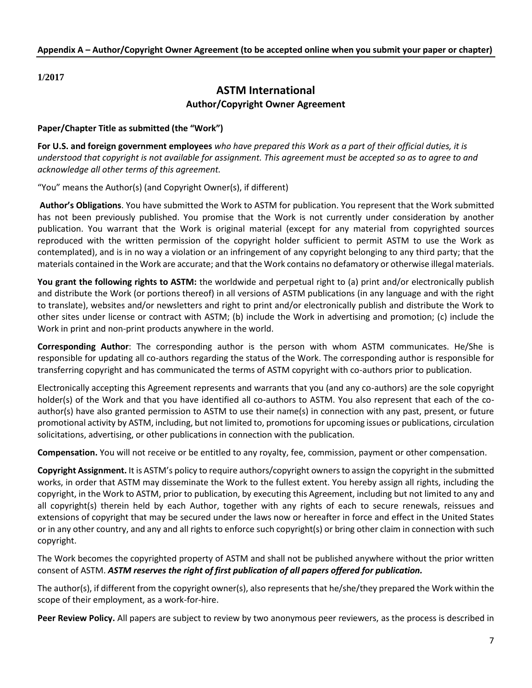**1/2017**

# **ASTM International Author/Copyright Owner Agreement**

#### **Paper/Chapter Title as submitted (the "Work")**

**For U.S. and foreign government employees** *who have prepared this Work as a part of their official duties, it is understood that copyright is not available for assignment. This agreement must be accepted so as to agree to and acknowledge all other terms of this agreement.*

"You" means the Author(s) (and Copyright Owner(s), if different)

**Author's Obligations**. You have submitted the Work to ASTM for publication. You represent that the Work submitted has not been previously published. You promise that the Work is not currently under consideration by another publication. You warrant that the Work is original material (except for any material from copyrighted sources reproduced with the written permission of the copyright holder sufficient to permit ASTM to use the Work as contemplated), and is in no way a violation or an infringement of any copyright belonging to any third party; that the materials contained in the Work are accurate; and that the Work contains no defamatory or otherwise illegal materials.

**You grant the following rights to ASTM:** the worldwide and perpetual right to (a) print and/or electronically publish and distribute the Work (or portions thereof) in all versions of ASTM publications (in any language and with the right to translate), websites and/or newsletters and right to print and/or electronically publish and distribute the Work to other sites under license or contract with ASTM; (b) include the Work in advertising and promotion; (c) include the Work in print and non-print products anywhere in the world.

**Corresponding Author**: The corresponding author is the person with whom ASTM communicates. He/She is responsible for updating all co-authors regarding the status of the Work. The corresponding author is responsible for transferring copyright and has communicated the terms of ASTM copyright with co-authors prior to publication.

Electronically accepting this Agreement represents and warrants that you (and any co-authors) are the sole copyright holder(s) of the Work and that you have identified all co-authors to ASTM. You also represent that each of the coauthor(s) have also granted permission to ASTM to use their name(s) in connection with any past, present, or future promotional activity by ASTM, including, but not limited to, promotions for upcoming issues or publications, circulation solicitations, advertising, or other publications in connection with the publication.

**Compensation.** You will not receive or be entitled to any royalty, fee, commission, payment or other compensation.

**Copyright Assignment.** It is ASTM's policy to require authors/copyright owners to assign the copyright in the submitted works, in order that ASTM may disseminate the Work to the fullest extent. You hereby assign all rights, including the copyright, in the Work to ASTM, prior to publication, by executing this Agreement, including but not limited to any and all copyright(s) therein held by each Author, together with any rights of each to secure renewals, reissues and extensions of copyright that may be secured under the laws now or hereafter in force and effect in the United States or in any other country, and any and all rights to enforce such copyright(s) or bring other claim in connection with such copyright.

The Work becomes the copyrighted property of ASTM and shall not be published anywhere without the prior written consent of ASTM. *ASTM reserves the right of first publication of all papers offered for publication.* 

The author(s), if different from the copyright owner(s), also represents that he/she/they prepared the Work within the scope of their employment, as a work-for-hire.

**Peer Review Policy.** All papers are subject to review by two anonymous peer reviewers, as the process is described in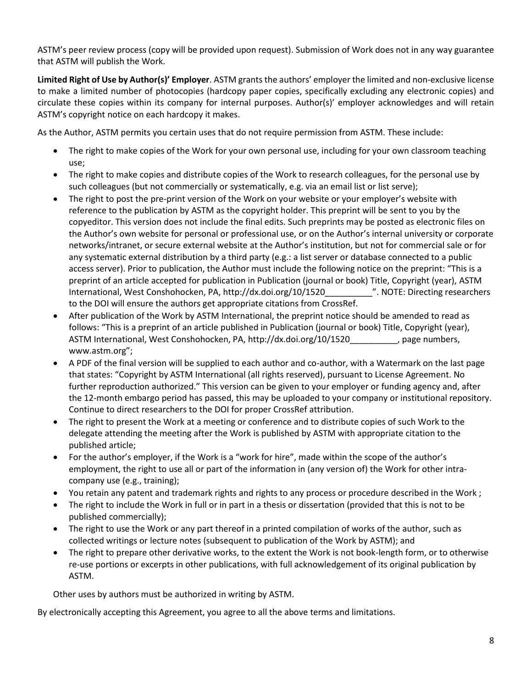ASTM's peer review process (copy will be provided upon request). Submission of Work does not in any way guarantee that ASTM will publish the Work.

**Limited Right of Use by Author(s)' Employer**. ASTM grants the authors' employer the limited and non-exclusive license to make a limited number of photocopies (hardcopy paper copies, specifically excluding any electronic copies) and circulate these copies within its company for internal purposes. Author(s)' employer acknowledges and will retain ASTM's copyright notice on each hardcopy it makes.

As the Author, ASTM permits you certain uses that do not require permission from ASTM. These include:

- The right to make copies of the Work for your own personal use, including for your own classroom teaching use;
- The right to make copies and distribute copies of the Work to research colleagues, for the personal use by such colleagues (but not commercially or systematically, e.g. via an email list or list serve);
- The right to post the pre-print version of the Work on your website or your employer's website with reference to the publication by ASTM as the copyright holder. This preprint will be sent to you by the copyeditor. This version does not include the final edits. Such preprints may be posted as electronic files on the Author's own website for personal or professional use, or on the Author's internal university or corporate networks/intranet, or secure external website at the Author's institution, but not for commercial sale or for any systematic external distribution by a third party (e.g.: a list server or database connected to a public access server). Prior to publication, the Author must include the following notice on the preprint: "This is a preprint of an article accepted for publication in Publication (journal or book) Title, Copyright (year), ASTM International, West Conshohocken, PA, http://dx.doi.org/10/1520\_\_\_\_\_\_\_\_\_\_". NOTE: Directing researchers to the DOI will ensure the authors get appropriate citations from CrossRef.
- After publication of the Work by ASTM International, the preprint notice should be amended to read as follows: "This is a preprint of an article published in Publication (journal or book) Title, Copyright (year), ASTM International, West Conshohocken, PA, http://dx.doi.org/10/1520 , page numbers, www.astm.org";
- A PDF of the final version will be supplied to each author and co-author, with a Watermark on the last page that states: "Copyright by ASTM International (all rights reserved), pursuant to License Agreement. No further reproduction authorized." This version can be given to your employer or funding agency and, after the 12-month embargo period has passed, this may be uploaded to your company or institutional repository. Continue to direct researchers to the DOI for proper CrossRef attribution.
- The right to present the Work at a meeting or conference and to distribute copies of such Work to the delegate attending the meeting after the Work is published by ASTM with appropriate citation to the published article;
- For the author's employer, if the Work is a "work for hire", made within the scope of the author's employment, the right to use all or part of the information in (any version of) the Work for other intracompany use (e.g., training);
- You retain any patent and trademark rights and rights to any process or procedure described in the Work ;
- The right to include the Work in full or in part in a thesis or dissertation (provided that this is not to be published commercially);
- The right to use the Work or any part thereof in a printed compilation of works of the author, such as collected writings or lecture notes (subsequent to publication of the Work by ASTM); and
- The right to prepare other derivative works, to the extent the Work is not book-length form, or to otherwise re-use portions or excerpts in other publications, with full acknowledgement of its original publication by ASTM.

Other uses by authors must be authorized in writing by ASTM.

By electronically accepting this Agreement, you agree to all the above terms and limitations.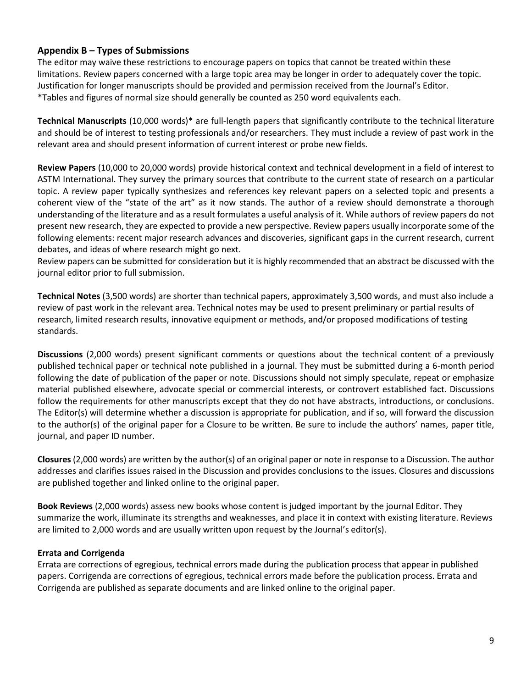# **Appendix B – Types of Submissions**

The editor may waive these restrictions to encourage papers on topics that cannot be treated within these limitations. Review papers concerned with a large topic area may be longer in order to adequately cover the topic. Justification for longer manuscripts should be provided and permission received from the Journal's Editor. \*Tables and figures of normal size should generally be counted as 250 word equivalents each.

**Technical Manuscripts** (10,000 words)\* are full-length papers that significantly contribute to the technical literature and should be of interest to testing professionals and/or researchers. They must include a review of past work in the relevant area and should present information of current interest or probe new fields.

**Review Papers** (10,000 to 20,000 words) provide historical context and technical development in a field of interest to ASTM International. They survey the primary sources that contribute to the current state of research on a particular topic. A review paper typically synthesizes and references key relevant papers on a selected topic and presents a coherent view of the "state of the art" as it now stands. The author of a review should demonstrate a thorough understanding of the literature and as a result formulates a useful analysis of it. While authors of review papers do not present new research, they are expected to provide a new perspective. Review papers usually incorporate some of the following elements: recent major research advances and discoveries, significant gaps in the current research, current debates, and ideas of where research might go next.

Review papers can be submitted for consideration but it is highly recommended that an abstract be discussed with the journal editor prior to full submission.

**Technical Notes** (3,500 words) are shorter than technical papers, approximately 3,500 words, and must also include a review of past work in the relevant area. Technical notes may be used to present preliminary or partial results of research, limited research results, innovative equipment or methods, and/or proposed modifications of testing standards.

**Discussions** (2,000 words) present significant comments or questions about the technical content of a previously published technical paper or technical note published in a journal. They must be submitted during a 6-month period following the date of publication of the paper or note. Discussions should not simply speculate, repeat or emphasize material published elsewhere, advocate special or commercial interests, or controvert established fact. Discussions follow the requirements for other manuscripts except that they do not have abstracts, introductions, or conclusions. The Editor(s) will determine whether a discussion is appropriate for publication, and if so, will forward the discussion to the author(s) of the original paper for a Closure to be written. Be sure to include the authors' names, paper title, journal, and paper ID number.

**Closures** (2,000 words) are written by the author(s) of an original paper or note in response to a Discussion. The author addresses and clarifies issues raised in the Discussion and provides conclusions to the issues. Closures and discussions are published together and linked online to the original paper.

**Book Reviews** (2,000 words) assess new books whose content is judged important by the journal Editor. They summarize the work, illuminate its strengths and weaknesses, and place it in context with existing literature. Reviews are limited to 2,000 words and are usually written upon request by the Journal's editor(s).

## **Errata and Corrigenda**

Errata are corrections of egregious, technical errors made during the publication process that appear in published papers. Corrigenda are corrections of egregious, technical errors made before the publication process. Errata and Corrigenda are published as separate documents and are linked online to the original paper.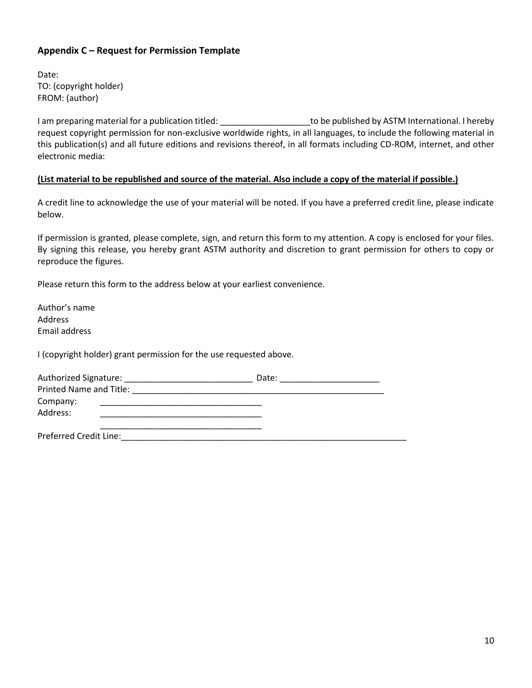# **Appendix C – Request for Permission Template**

Date: TO: (copyright holder) FROM: (author)

I am preparing material for a publication titled: \_\_\_\_\_\_\_\_\_\_\_\_\_\_\_\_\_\_\_\_\_\_to be published by ASTM International. I hereby request copyright permission for non-exclusive worldwide rights, in all languages, to include the following material in this publication(s) and all future editions and revisions thereof, in all formats including CD-ROM, internet, and other electronic media:

#### **(List material to be republished and source of the material. Also include a copy of the material if possible.)**

A credit line to acknowledge the use of your material will be noted. If you have a preferred credit line, please indicate below.

If permission is granted, please complete, sign, and return this form to my attention. A copy is enclosed for your files. By signing this release, you hereby grant ASTM authority and discretion to grant permission for others to copy or reproduce the figures.

Please return this form to the address below at your earliest convenience.

Author's name Address Email address

I (copyright holder) grant permission for the use requested above.

| Authorized Signature:          | Date: |
|--------------------------------|-------|
| <b>Printed Name and Title:</b> |       |
| Company:                       |       |
| Address:                       |       |
|                                |       |
| <b>Preferred Credit Line:</b>  |       |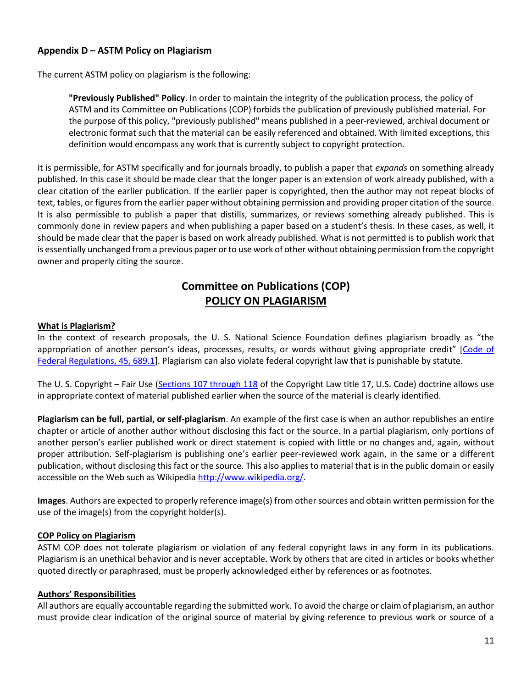# **Appendix D – ASTM Policy on Plagiarism**

The current ASTM policy on plagiarism is the following:

**"Previously Published" Policy**. In order to maintain the integrity of the publication process, the policy of ASTM and its Committee on Publications (COP) forbids the publication of previously published material. For the purpose of this policy, "previously published" means published in a peer-reviewed, archival document or electronic format such that the material can be easily referenced and obtained. With limited exceptions, this definition would encompass any work that is currently subject to copyright protection.

It is permissible, for ASTM specifically and for journals broadly, to publish a paper that *expands* on something already published. In this case it should be made clear that the longer paper is an extension of work already published, with a clear citation of the earlier publication. If the earlier paper is copyrighted, then the author may not repeat blocks of text, tables, or figures from the earlier paper without obtaining permission and providing proper citation of the source. It is also permissible to publish a paper that distills, summarizes, or reviews something already published. This is commonly done in review papers and when publishing a paper based on a student's thesis. In these cases, as well, it should be made clear that the paper is based on work already published. What is not permitted is to publish work that is essentially unchanged from a previous paper or to use work of other without obtaining permission from the copyright owner and properly citing the source.

# **Committee on Publications (COP) POLICY ON PLAGIARISM**

#### **What is Plagiarism?**

In the context of research proposals, the U. S. National Science Foundation defines plagiarism broadly as "the appropriation of another person's ideas, processes, results, or words without giving appropriate credit" [[Code of](http://ecfr.gpoaccess.gov/cgi/t/text/text-idx?c=ecfr&sid=d8d3756c538b2a9cb3ec6a4305a5e83e&rgn=div8&view=text&node=45:3.1.2.4.28.0.9.1&idno=45)  [Federal Regulations, 45, 689.1\]](http://ecfr.gpoaccess.gov/cgi/t/text/text-idx?c=ecfr&sid=d8d3756c538b2a9cb3ec6a4305a5e83e&rgn=div8&view=text&node=45:3.1.2.4.28.0.9.1&idno=45). Plagiarism can also violate federal copyright law that is punishable by statute.

The U. S. Copyright – Fair Use [\(Sections 107 through 118](http://www.copyright.gov/title17/92chap1.html) of the Copyright Law title 17, U.S. Code) doctrine allows use in appropriate context of material published earlier when the source of the material is clearly identified.

**Plagiarism can be full, partial, or self-plagiarism**. An example of the first case is when an author republishes an entire chapter or article of another author without disclosing this fact or the source. In a partial plagiarism, only portions of another person's earlier published work or direct statement is copied with little or no changes and, again, without proper attribution. Self-plagiarism is publishing one's earlier peer-reviewed work again, in the same or a different publication, without disclosing this fact or the source. This also applies to material that is in the public domain or easily accessible on the Web such as Wikipedia http://www.wikipedia.org/

**Images**. Authors are expected to properly reference image(s) from other sources and obtain written permission for the use of the image(s) from the copyright holder(s).

#### **COP Policy on Plagiarism**

ASTM COP does not tolerate plagiarism or violation of any federal copyright laws in any form in its publications. Plagiarism is an unethical behavior and is never acceptable. Work by others that are cited in articles or books whether quoted directly or paraphrased, must be properly acknowledged either by references or as footnotes.

#### **Authors' Responsibilities**

All authors are equally accountable regarding the submitted work. To avoid the charge or claim of plagiarism, an author must provide clear indication of the original source of material by giving reference to previous work or source of a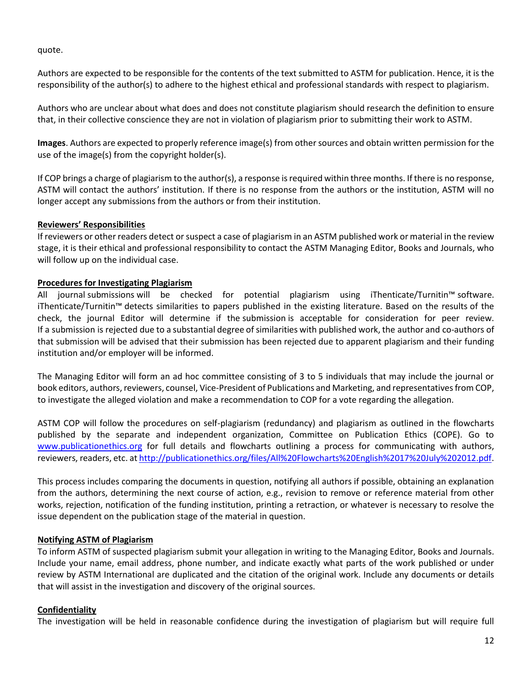quote.

Authors are expected to be responsible for the contents of the text submitted to ASTM for publication. Hence, it is the responsibility of the author(s) to adhere to the highest ethical and professional standards with respect to plagiarism.

Authors who are unclear about what does and does not constitute plagiarism should research the definition to ensure that, in their collective conscience they are not in violation of plagiarism prior to submitting their work to ASTM.

**Images**. Authors are expected to properly reference image(s) from other sources and obtain written permission for the use of the image(s) from the copyright holder(s).

If COP brings a charge of plagiarism to the author(s), a response is required within three months. If there is no response, ASTM will contact the authors' institution. If there is no response from the authors or the institution, ASTM will no longer accept any submissions from the authors or from their institution.

#### **Reviewers' Responsibilities**

If reviewers or other readers detect or suspect a case of plagiarism in an ASTM published work or material in the review stage, it is their ethical and professional responsibility to contact the ASTM Managing Editor, Books and Journals, who will follow up on the individual case.

#### **Procedures for Investigating Plagiarism**

All journal submissions will be checked for potential plagiarism using iThenticate/Turnitin™ software. iThenticate/Turnitin™ detects similarities to papers published in the existing literature. Based on the results of the check, the journal Editor will determine if the submission is acceptable for consideration for peer review. If a submission is rejected due to a substantial degree of similarities with published work, the author and co-authors of that submission will be advised that their submission has been rejected due to apparent plagiarism and their funding institution and/or employer will be informed.

The Managing Editor will form an ad hoc committee consisting of 3 to 5 individuals that may include the journal or book editors, authors, reviewers, counsel, Vice-President of Publications and Marketing, and representatives from COP, to investigate the alleged violation and make a recommendation to COP for a vote regarding the allegation.

ASTM COP will follow the procedures on self-plagiarism (redundancy) and plagiarism as outlined in the flowcharts published by the separate and independent organization, Committee on Publication Ethics (COPE). Go to [www.publicationethics.org](http://www.publicationethics.org/) for full details and flowcharts outlining a process for communicating with authors, reviewers, readers, etc. a[t http://publicationethics.org/files/All%20Flowcharts%20English%2017%20July%202012.pdf.](http://publicationethics.org/files/All%20Flowcharts%20English%2017%20July%202012.pdf)

This process includes comparing the documents in question, notifying all authors if possible, obtaining an explanation from the authors, determining the next course of action, e.g., revision to remove or reference material from other works, rejection, notification of the funding institution, printing a retraction, or whatever is necessary to resolve the issue dependent on the publication stage of the material in question.

## **Notifying ASTM of Plagiarism**

To inform ASTM of suspected plagiarism submit your allegation in writing to the Managing Editor, Books and Journals. Include your name, email address, phone number, and indicate exactly what parts of the work published or under review by ASTM International are duplicated and the citation of the original work. Include any documents or details that will assist in the investigation and discovery of the original sources.

#### **Confidentiality**

The investigation will be held in reasonable confidence during the investigation of plagiarism but will require full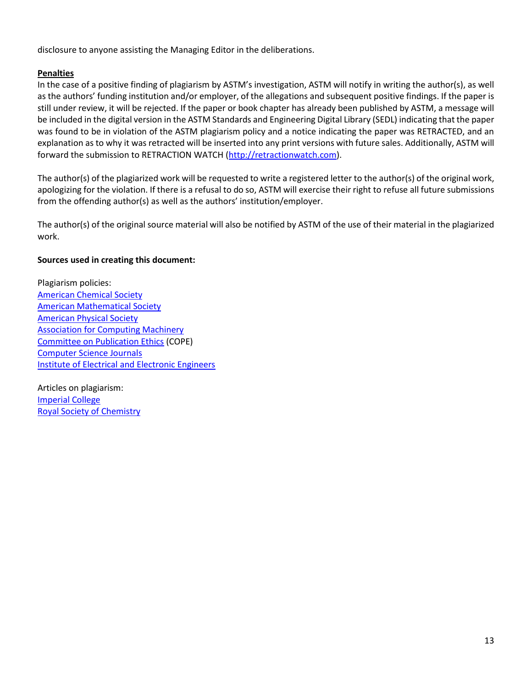disclosure to anyone assisting the Managing Editor in the deliberations.

## **Penalties**

In the case of a positive finding of plagiarism by ASTM's investigation, ASTM will notify in writing the author(s), as well as the authors' funding institution and/or employer, of the allegations and subsequent positive findings. If the paper is still under review, it will be rejected. If the paper or book chapter has already been published by ASTM, a message will be included in the digital version in the ASTM Standards and Engineering Digital Library (SEDL) indicating that the paper was found to be in violation of the ASTM plagiarism policy and a notice indicating the paper was RETRACTED, and an explanation as to why it was retracted will be inserted into any print versions with future sales. Additionally, ASTM will forward the submission to RETRACTION WATCH [\(http://retractionwatch.com\)](http://retractionwatch.com/).

The author(s) of the plagiarized work will be requested to write a registered letter to the author(s) of the original work, apologizing for the violation. If there is a refusal to do so, ASTM will exercise their right to refuse all future submissions from the offending author(s) as well as the authors' institution/employer.

The author(s) of the original source material will also be notified by ASTM of the use of their material in the plagiarized work.

#### **Sources used in creating this document:**

Plagiarism policies: [American Chemical Society](http://www.acsedu.com/enrolment/acs-plagiarism-policy.aspx) [American Mathematical Society](http://www.ams.org/secretary/ethics.html) American [Physical Society](http://www.aps.org/policy/statements/02_2.cfm) [Association for Computing Machinery](http://www.acm.org/publications/policies/plagiarism_policy) [Committee on Publication Ethics](http://publicationethics.org/) (COPE) [Computer Science Journals](http://www.cscjournals.org/csc/plagiarismpolicies.php) [Institute of Electrical and Electronic Engineers](http://www.ieee.org/web/publications/rights/ID_Plagiarism.html)

Articles on plagiarism: [Imperial College](http://www3.imperial.ac.uk/library/researchers/plagiarismdetection) [Royal Society of Chemistry](http://www.rsc.org/chemistryworld/News/2009/September/09090901.asp)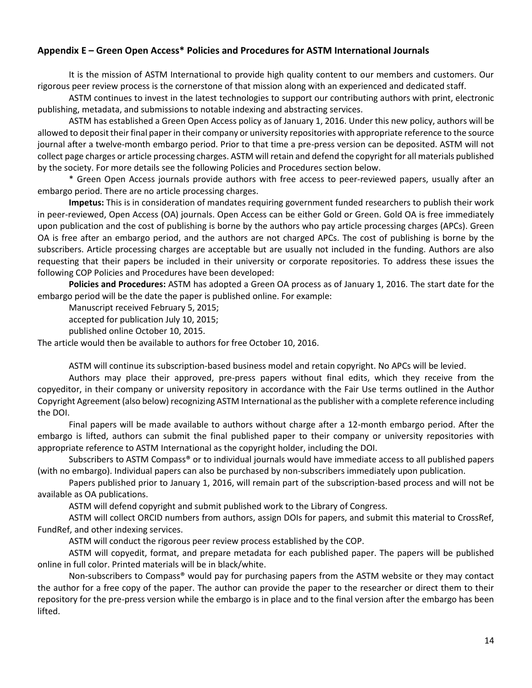## **Appendix E – Green Open Access\* Policies and Procedures for ASTM International Journals**

It is the mission of ASTM International to provide high quality content to our members and customers. Our rigorous peer review process is the cornerstone of that mission along with an experienced and dedicated staff.

ASTM continues to invest in the latest technologies to support our contributing authors with print, electronic publishing, metadata, and submissions to notable indexing and abstracting services.

ASTM has established a Green Open Access policy as of January 1, 2016. Under this new policy, authors will be allowed to deposit their final paper in their company or university repositories with appropriate reference to the source journal after a twelve-month embargo period. Prior to that time a pre-press version can be deposited. ASTM will not collect page charges or article processing charges. ASTM will retain and defend the copyright for all materials published by the society. For more details see the following Policies and Procedures section below.

\* Green Open Access journals provide authors with free access to peer-reviewed papers, usually after an embargo period. There are no article processing charges.

**Impetus:** This is in consideration of mandates requiring government funded researchers to publish their work in peer-reviewed, Open Access (OA) journals. Open Access can be either Gold or Green. Gold OA is free immediately upon publication and the cost of publishing is borne by the authors who pay article processing charges (APCs). Green OA is free after an embargo period, and the authors are not charged APCs. The cost of publishing is borne by the subscribers. Article processing charges are acceptable but are usually not included in the funding. Authors are also requesting that their papers be included in their university or corporate repositories. To address these issues the following COP Policies and Procedures have been developed:

**Policies and Procedures:** ASTM has adopted a Green OA process as of January 1, 2016. The start date for the embargo period will be the date the paper is published online. For example:

Manuscript received February 5, 2015;

accepted for publication July 10, 2015;

published online October 10, 2015.

The article would then be available to authors for free October 10, 2016.

ASTM will continue its subscription-based business model and retain copyright. No APCs will be levied.

Authors may place their approved, pre-press papers without final edits, which they receive from the copyeditor, in their company or university repository in accordance with the Fair Use terms outlined in the Author Copyright Agreement (also below) recognizing ASTM International as the publisher with a complete reference including the DOI.

Final papers will be made available to authors without charge after a 12-month embargo period. After the embargo is lifted, authors can submit the final published paper to their company or university repositories with appropriate reference to ASTM International as the copyright holder, including the DOI.

Subscribers to ASTM Compass® or to individual journals would have immediate access to all published papers (with no embargo). Individual papers can also be purchased by non-subscribers immediately upon publication.

Papers published prior to January 1, 2016, will remain part of the subscription-based process and will not be available as OA publications.

ASTM will defend copyright and submit published work to the Library of Congress.

ASTM will collect ORCID numbers from authors, assign DOIs for papers, and submit this material to CrossRef, FundRef, and other indexing services.

ASTM will conduct the rigorous peer review process established by the COP.

ASTM will copyedit, format, and prepare metadata for each published paper. The papers will be published online in full color. Printed materials will be in black/white.

Non-subscribers to Compass® would pay for purchasing papers from the ASTM website or they may contact the author for a free copy of the paper. The author can provide the paper to the researcher or direct them to their repository for the pre-press version while the embargo is in place and to the final version after the embargo has been lifted.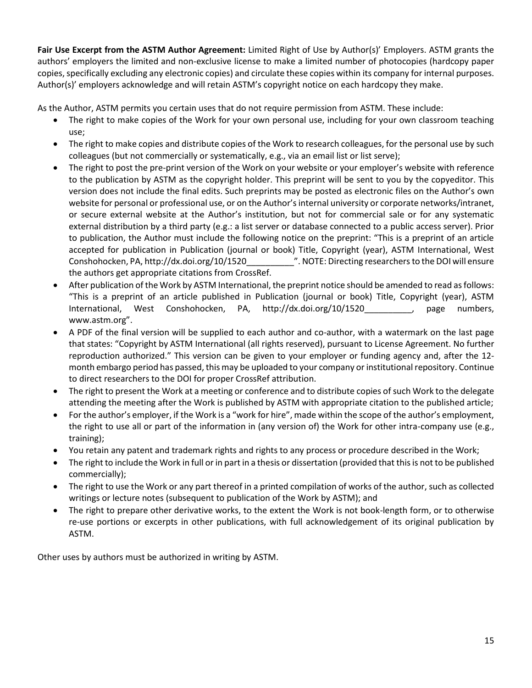**Fair Use Excerpt from the ASTM Author Agreement:** Limited Right of Use by Author(s)' Employers. ASTM grants the authors' employers the limited and non-exclusive license to make a limited number of photocopies (hardcopy paper copies, specifically excluding any electronic copies) and circulate these copies within its company for internal purposes. Author(s)' employers acknowledge and will retain ASTM's copyright notice on each hardcopy they make.

As the Author, ASTM permits you certain uses that do not require permission from ASTM. These include:

- The right to make copies of the Work for your own personal use, including for your own classroom teaching use;
- The right to make copies and distribute copies of the Work to research colleagues, for the personal use by such colleagues (but not commercially or systematically, e.g., via an email list or list serve);
- The right to post the pre-print version of the Work on your website or your employer's website with reference to the publication by ASTM as the copyright holder. This preprint will be sent to you by the copyeditor. This version does not include the final edits. Such preprints may be posted as electronic files on the Author's own website for personal or professional use, or on the Author's internal university or corporate networks/intranet, or secure external website at the Author's institution, but not for commercial sale or for any systematic external distribution by a third party (e.g.: a list server or database connected to a public access server). Prior to publication, the Author must include the following notice on the preprint: "This is a preprint of an article accepted for publication in Publication (journal or book) Title, Copyright (year), ASTM International, West Conshohocken, PA, http://dx.doi.org/10/1520\_\_\_\_\_\_\_\_\_\_". NOTE: Directing researchers to the DOI will ensure the authors get appropriate citations from CrossRef.
- After publication of the Work by ASTM International, the preprint notice should be amended to read as follows: "This is a preprint of an article published in Publication (journal or book) Title, Copyright (year), ASTM International, West Conshohocken, PA, http://dx.doi.org/10/1520\_\_\_\_\_\_\_\_\_\_, page numbers, www.astm.org".
- A PDF of the final version will be supplied to each author and co-author, with a watermark on the last page that states: "Copyright by ASTM International (all rights reserved), pursuant to License Agreement. No further reproduction authorized." This version can be given to your employer or funding agency and, after the 12 month embargo period has passed, this may be uploaded to your company or institutional repository. Continue to direct researchers to the DOI for proper CrossRef attribution.
- The right to present the Work at a meeting or conference and to distribute copies of such Work to the delegate attending the meeting after the Work is published by ASTM with appropriate citation to the published article;
- For the author's employer, if the Work is a "work for hire", made within the scope of the author's employment, the right to use all or part of the information in (any version of) the Work for other intra-company use (e.g., training);
- You retain any patent and trademark rights and rights to any process or procedure described in the Work;
- The right to include the Work in full or in part in a thesis or dissertation (provided that this is not to be published commercially);
- The right to use the Work or any part thereof in a printed compilation of works of the author, such as collected writings or lecture notes (subsequent to publication of the Work by ASTM); and
- The right to prepare other derivative works, to the extent the Work is not book-length form, or to otherwise re-use portions or excerpts in other publications, with full acknowledgement of its original publication by ASTM.

Other uses by authors must be authorized in writing by ASTM.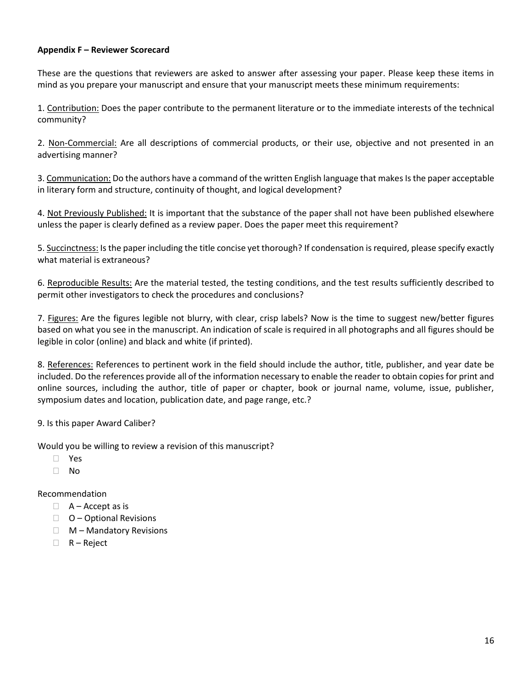#### **Appendix F – Reviewer Scorecard**

These are the questions that reviewers are asked to answer after assessing your paper. Please keep these items in mind as you prepare your manuscript and ensure that your manuscript meets these minimum requirements:

1. Contribution: Does the paper contribute to the permanent literature or to the immediate interests of the technical community?

2. Non-Commercial: Are all descriptions of commercial products, or their use, objective and not presented in an advertising manner?

3. Communication: Do the authors have a command of the written English language that makes Is the paper acceptable in literary form and structure, continuity of thought, and logical development?

4. Not Previously Published: It is important that the substance of the paper shall not have been published elsewhere unless the paper is clearly defined as a review paper. Does the paper meet this requirement?

5. Succinctness: Is the paper including the title concise yet thorough? If condensation is required, please specify exactly what material is extraneous?

6. Reproducible Results: Are the material tested, the testing conditions, and the test results sufficiently described to permit other investigators to check the procedures and conclusions?

7. Figures: Are the figures legible not blurry, with clear, crisp labels? Now is the time to suggest new/better figures based on what you see in the manuscript. An indication of scale is required in all photographs and all figures should be legible in color (online) and black and white (if printed).

8. References: References to pertinent work in the field should include the author, title, publisher, and year date be included. Do the references provide all of the information necessary to enable the reader to obtain copies for print and online sources, including the author, title of paper or chapter, book or journal name, volume, issue, publisher, symposium dates and location, publication date, and page range, etc.?

9. Is this paper Award Caliber?

Would you be willing to review a revision of this manuscript?

- Yes
- $\Box$  No

#### Recommendation

- $A -$ Accept as is
- $\Box$  O Optional Revisions
- $\Box$  M Mandatory Revisions
- $\Box$  R Reject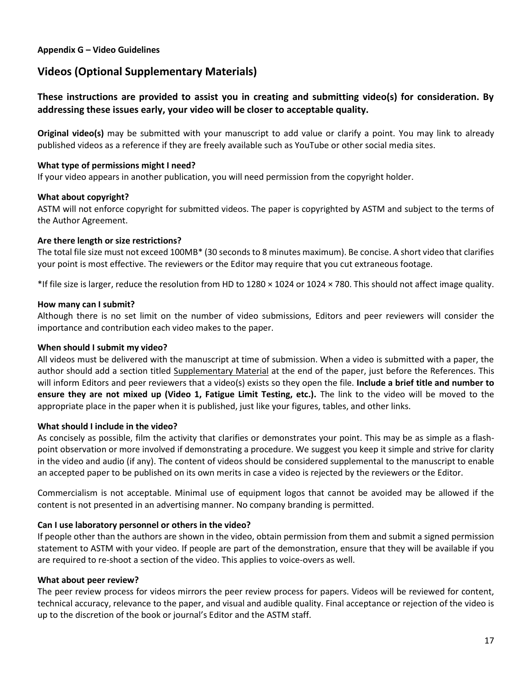#### **Appendix G – Video Guidelines**

# **Videos (Optional Supplementary Materials)**

# **These instructions are provided to assist you in creating and submitting video(s) for consideration. By addressing these issues early, your video will be closer to acceptable quality.**

**Original video(s)** may be submitted with your manuscript to add value or clarify a point. You may link to already published videos as a reference if they are freely available such as YouTube or other social media sites.

#### **What type of permissions might I need?**

If your video appears in another publication, you will need permission from the copyright holder.

#### **What about copyright?**

ASTM will not enforce copyright for submitted videos. The paper is copyrighted by ASTM and subject to the terms of the Author Agreement.

#### **Are there length or size restrictions?**

The total file size must not exceed 100MB\* (30 seconds to 8 minutes maximum). Be concise. A short video that clarifies your point is most effective. The reviewers or the Editor may require that you cut extraneous footage.

\*If file size is larger, reduce the resolution from HD to 1280 × 1024 or 1024 × 780. This should not affect image quality.

#### **How many can I submit?**

Although there is no set limit on the number of video submissions, Editors and peer reviewers will consider the importance and contribution each video makes to the paper.

#### **When should I submit my video?**

All videos must be delivered with the manuscript at time of submission. When a video is submitted with a paper, the author should add a section titled Supplementary Material at the end of the paper, just before the References. This will inform Editors and peer reviewers that a video(s) exists so they open the file. **Include a brief title and number to ensure they are not mixed up (Video 1, Fatigue Limit Testing, etc.).** The link to the video will be moved to the appropriate place in the paper when it is published, just like your figures, tables, and other links.

#### **What should I include in the video?**

As concisely as possible, film the activity that clarifies or demonstrates your point. This may be as simple as a flashpoint observation or more involved if demonstrating a procedure. We suggest you keep it simple and strive for clarity in the video and audio (if any). The content of videos should be considered supplemental to the manuscript to enable an accepted paper to be published on its own merits in case a video is rejected by the reviewers or the Editor.

Commercialism is not acceptable. Minimal use of equipment logos that cannot be avoided may be allowed if the content is not presented in an advertising manner. No company branding is permitted.

#### **Can I use laboratory personnel or others in the video?**

If people other than the authors are shown in the video, obtain permission from them and submit a signed permission statement to ASTM with your video. If people are part of the demonstration, ensure that they will be available if you are required to re-shoot a section of the video. This applies to voice-overs as well.

#### **What about peer review?**

The peer review process for videos mirrors the peer review process for papers. Videos will be reviewed for content, technical accuracy, relevance to the paper, and visual and audible quality. Final acceptance or rejection of the video is up to the discretion of the book or journal's Editor and the ASTM staff.